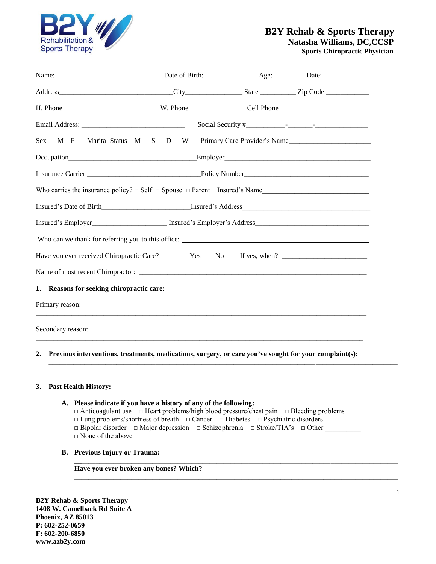

| Sex M F Marital Status M S D W                                                           |     |  |  | Primary Care Provider's Name                                                                                                    |
|------------------------------------------------------------------------------------------|-----|--|--|---------------------------------------------------------------------------------------------------------------------------------|
|                                                                                          |     |  |  |                                                                                                                                 |
|                                                                                          |     |  |  |                                                                                                                                 |
| Who carries the insurance policy? $\Box$ Self $\Box$ Spouse $\Box$ Parent Insured's Name |     |  |  |                                                                                                                                 |
|                                                                                          |     |  |  |                                                                                                                                 |
|                                                                                          |     |  |  |                                                                                                                                 |
|                                                                                          |     |  |  |                                                                                                                                 |
| Have you ever received Chiropractic Care?                                                | Yes |  |  | No If yes, when? $\frac{1}{\sqrt{1-\frac{1}{2}}}\left\{\cos \frac{2\pi}{3} + \cos \frac{2\pi}{3} + \cos \frac{2\pi}{3}\right\}$ |
|                                                                                          |     |  |  |                                                                                                                                 |
| 1. Reasons for seeking chiropractic care:                                                |     |  |  |                                                                                                                                 |
| Primary reason:                                                                          |     |  |  |                                                                                                                                 |
| Secondary reason:                                                                        |     |  |  |                                                                                                                                 |

**2. Previous interventions, treatments, medications, surgery, or care you've sought for your complaint(s):** 

#### **3. Past Health History:**

- **A. Please indicate if you have a history of any of the following:**
	- **□** Anticoagulant use **□** Heart problems/high blood pressure/chest pain □ Bleeding problems  **□** Lung problems/shortness of breath □ Cancer □ Diabetes □ Psychiatric disorders □ Bipolar disorder □ Major depression □ Schizophrenia □ Stroke/TIA's □ Other

**\_\_**\_\_\_\_\_\_\_\_\_\_\_\_\_\_\_\_\_\_\_\_\_\_\_\_\_\_\_\_\_\_\_\_\_\_\_\_\_\_\_\_\_\_\_\_\_\_\_\_\_\_\_\_\_\_\_\_\_\_\_\_\_\_\_\_\_\_\_\_\_\_\_\_\_\_\_\_\_\_\_\_\_\_\_\_\_\_\_\_\_

\_\_\_\_\_\_\_\_\_\_\_\_\_\_\_\_\_\_\_\_\_\_\_\_\_\_\_\_\_\_\_\_\_\_\_\_\_\_\_\_\_\_\_\_\_\_\_\_\_\_\_\_\_\_\_\_\_\_\_\_\_\_\_\_\_\_\_\_\_\_\_\_\_\_\_\_\_\_\_\_\_\_\_\_\_\_\_\_\_\_\_

\_\_\_\_\_\_\_\_\_\_\_\_\_\_\_\_\_\_\_\_\_\_\_\_\_\_\_\_\_\_\_\_\_\_\_\_\_\_\_\_\_\_\_\_\_\_\_\_\_\_\_\_\_\_\_\_\_\_\_\_\_\_\_\_\_\_\_\_\_\_\_\_\_\_\_\_\_\_\_\_\_\_\_\_\_\_\_\_\_\_\_\_\_\_\_\_\_\_  $\_$  , and the set of the set of the set of the set of the set of the set of the set of the set of the set of the set of the set of the set of the set of the set of the set of the set of the set of the set of the set of th

- □ None of the above
- **B. Previous Injury or Trauma:**

**Have you ever broken any bones? Which?**

**B2Y Rehab & Sports Therapy 1408 W. Camelback Rd Suite A Phoenix, AZ 85013 P: 602-252-0659 F: 602-200-6850 www.azb2y.com**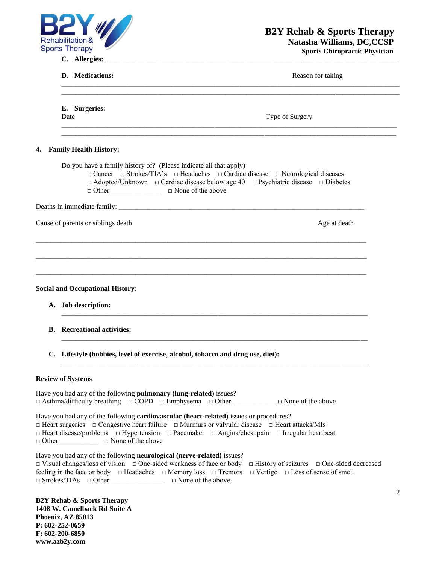

C. Allergies:

**B2Y Rehab & Sports Therapy D. Medications:** Reason for taking \_\_\_\_\_\_\_\_\_\_\_\_\_\_\_\_\_\_\_\_\_\_\_\_\_\_\_\_\_\_\_\_\_\_\_\_\_\_\_\_\_\_\_\_\_\_\_\_\_\_\_\_\_\_\_\_\_\_\_\_\_\_\_\_\_\_\_\_\_\_\_\_\_\_\_\_\_\_\_\_\_\_\_\_\_\_\_\_\_\_\_\_\_\_\_ \_\_\_\_\_\_\_\_\_\_\_\_\_\_\_\_\_\_\_\_\_\_\_\_\_\_\_\_\_\_\_\_\_\_\_\_\_\_\_\_\_\_\_\_\_\_\_\_\_\_\_\_\_\_\_\_\_\_\_\_\_\_\_\_\_\_\_\_\_\_\_\_\_\_\_\_\_\_\_\_\_\_\_\_\_\_\_\_\_\_\_\_\_\_\_ **E. Surgeries:** Date Type of Surgery \_\_\_\_\_\_\_\_\_\_\_\_\_\_\_\_\_\_\_\_\_\_\_\_\_\_\_\_\_\_\_\_\_\_\_\_\_\_\_\_\_\_\_\_\_\_\_\_\_\_\_\_\_\_\_\_\_\_\_\_\_\_\_\_\_\_\_\_\_\_\_\_\_\_\_\_\_\_\_\_\_\_\_\_\_\_\_\_\_\_\_\_\_\_ \_\_\_\_\_\_\_\_\_\_\_\_\_\_\_\_\_\_\_\_\_\_\_\_\_\_\_\_\_\_\_\_\_\_\_\_\_\_\_\_\_\_\_\_\_\_\_\_\_\_\_\_\_\_\_\_\_\_\_\_\_\_\_\_\_\_\_\_\_\_\_\_\_\_\_\_\_\_\_\_\_\_\_\_\_\_\_\_\_\_\_\_\_\_ **4. Family Health History:** Do you have a family history of? (Please indicate all that apply)  $\Box$  Cancer  $\Box$  Strokes/TIA's  $\Box$  Headaches  $\Box$  Cardiac disease  $\Box$  Neurological diseases  $\Box$  Adopted/Unknown  $\Box$  Cardiac disease below age 40  $\Box$  Psychiatric disease  $\Box$  Diabetes □ Other \_\_\_\_\_\_\_\_\_\_\_\_\_\_ □ None of the above Deaths in immediate family: Cause of parents or siblings death Age at death Age at death Age at death Age at death \_\_\_\_\_\_\_\_\_\_\_\_\_\_\_\_\_\_\_\_\_\_\_\_\_\_\_\_\_\_\_\_\_\_\_\_\_\_\_\_\_\_\_\_\_\_\_\_\_\_\_\_\_\_\_\_\_\_\_\_\_\_\_\_\_\_\_\_\_\_\_\_\_\_\_\_\_\_\_\_\_\_\_\_\_\_\_\_\_\_\_\_\_ \_\_\_\_\_\_\_\_\_\_\_\_\_\_\_\_\_\_\_\_\_\_\_\_\_\_\_\_\_\_\_\_\_\_\_\_\_\_\_\_\_\_\_\_\_\_\_\_\_\_\_\_\_\_\_\_\_\_\_\_\_\_\_\_\_\_\_\_\_\_\_\_\_\_\_\_\_\_\_\_\_\_\_\_\_\_\_\_\_\_\_\_\_ \_\_\_\_\_\_\_\_\_\_\_\_\_\_\_\_\_\_\_\_\_\_\_\_\_\_\_\_\_\_\_\_\_\_\_\_\_\_\_\_\_\_\_\_\_\_\_\_\_\_\_\_\_\_\_\_\_\_\_\_\_\_\_\_\_\_\_\_\_\_\_\_\_\_\_\_\_\_\_\_\_\_\_\_\_\_\_\_\_\_\_\_\_ **Social and Occupational History: A. Job description:**  \_\_\_\_\_\_\_\_\_\_\_\_\_\_\_\_\_\_\_\_\_\_\_\_\_\_\_\_\_\_\_\_\_\_\_\_\_\_\_\_\_\_\_\_\_\_\_\_\_\_\_\_\_\_\_\_\_\_\_\_\_\_\_\_\_\_\_\_\_\_\_\_\_\_\_\_\_\_\_\_\_\_\_\_\_\_ **B. Recreational activities:**  \_\_\_\_\_\_\_\_\_\_\_\_\_\_\_\_\_\_\_\_\_\_\_\_\_\_\_\_\_\_\_\_\_\_\_\_\_\_\_\_\_\_\_\_\_\_\_\_\_\_\_\_\_\_\_\_\_\_\_\_\_\_\_\_\_\_\_\_\_\_\_\_\_\_\_\_\_\_\_\_\_\_\_\_\_\_ **C. Lifestyle (hobbies, level of exercise, alcohol, tobacco and drug use, diet):** \_\_\_\_\_\_\_\_\_\_\_\_\_\_\_\_\_\_\_\_\_\_\_\_\_\_\_\_\_\_\_\_\_\_\_\_\_\_\_\_\_\_\_\_\_\_\_\_\_\_\_\_\_\_\_\_\_\_\_\_\_\_\_\_\_\_\_\_\_\_\_\_\_\_\_\_\_\_\_\_\_\_\_\_\_\_ **Review of Systems** Have you had any of the following **pulmonary (lung-related)** issues? □ Asthma/difficulty breathing □ COPD □ Emphysema □ Other □ None of the above Have you had any of the following **cardiovascular (heart-related)** issues or procedures? □ Heart surgeries □ Congestive heart failure □ Murmurs or valvular disease □ Heart attacks/MIs □ Heart disease/problems □ Hypertension □ Pacemaker □ Angina/chest pain □ Irregular heartbeat □ Other \_\_\_\_\_\_\_\_\_\_\_ □ None of the above Have you had any of the following **neurological (nerve-related)** issues? □ Visual changes/loss of vision □ One-sided weakness of face or body □ History of seizures □ One-sided decreased feeling in the face or body  $\Box$  Headaches  $\Box$  Memory loss  $\Box$  Tremors  $\Box$  Vertigo  $\Box$  Loss of sense of smell □ Strokes/TIAs □ Other \_\_\_\_\_\_\_\_\_\_\_\_\_\_\_ □ None of the above

**1408 W. Camelback Rd Suite A Phoenix, AZ 85013 P: 602-252-0659 F: 602-200-6850 www.azb2y.com**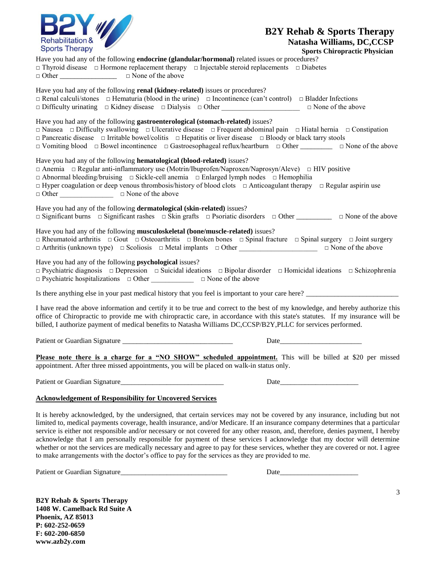

# **B2Y Rehab & Sports Therapy**

 **Natasha Williams, DC,CCSP**

 **Sports Chiropractic Physician**

| Have you had any of the following endocrine (glandular/hormonal) related issues or procedures?<br>$\Box$ Thyroid disease $\Box$ Hormone replacement therapy $\Box$ Injectable steroid replacements $\Box$ Diabetes                                                                                                                                                                                                                                                                                                                                                                                                                                                                                                                                                    |
|-----------------------------------------------------------------------------------------------------------------------------------------------------------------------------------------------------------------------------------------------------------------------------------------------------------------------------------------------------------------------------------------------------------------------------------------------------------------------------------------------------------------------------------------------------------------------------------------------------------------------------------------------------------------------------------------------------------------------------------------------------------------------|
| Have you had any of the following renal (kidney-related) issues or procedures?<br>$\Box$ Renal calculi/stones $\Box$ Hematuria (blood in the urine) $\Box$ Incontinence (can't control) $\Box$ Bladder Infections                                                                                                                                                                                                                                                                                                                                                                                                                                                                                                                                                     |
| Have you had any of the following gastroenterological (stomach-related) issues?<br>$\Box$ Nausea $\Box$ Difficulty swallowing $\Box$ Ulcerative disease $\Box$ Frequent abdominal pain $\Box$ Hiatal hernia $\Box$ Constipation<br>$\Box$ Pancreatic disease $\Box$ Irritable bowel/colitis $\Box$ Hepatitis or liver disease $\Box$ Bloody or black tarry stools<br>$\Box$ Vomiting blood $\Box$ Bowel incontinence $\Box$ Gastroesophageal reflux/heartburn $\Box$ Other $\Box$ $\Box$ None of the above                                                                                                                                                                                                                                                            |
| Have you had any of the following <b>hematological</b> (blood-related) issues?<br>$\Box$ Anemia $\Box$ Regular anti-inflammatory use (Motrin/Ibuprofen/Naproxen/Naprosyn/Aleve) $\Box$ HIV positive<br>$\Box$ Abnormal bleeding/bruising $\Box$ Sickle-cell anemia $\Box$ Enlarged lymph nodes $\Box$ Hemophilia<br>$\Box$ Hyper coagulation or deep venous thrombosis/history of blood clots $\Box$ Anticoagulant therapy $\Box$ Regular aspirin use<br>$\Box$ Other $\Box$ $\Box$ None of the above                                                                                                                                                                                                                                                                 |
| Have you had any of the following <b>dermatological</b> (skin-related) issues?<br>$\Box$ None of the above                                                                                                                                                                                                                                                                                                                                                                                                                                                                                                                                                                                                                                                            |
| Have you had any of the following musculoskeletal (bone/muscle-related) issues?<br>$\Box$ Rheumatoid arthritis $\Box$ Gout $\Box$ Osteoarthritis $\Box$ Broken bones $\Box$ Spinal fracture $\Box$ Spinal surgery $\Box$ Joint surgery<br>$\Box$ Arthritis (unknown type) $\Box$ Scoliosis $\Box$ Metal implants $\Box$ Other<br>$\Box$ None of the above                                                                                                                                                                                                                                                                                                                                                                                                             |
| Have you had any of the following <b>psychological</b> issues?<br>$\Box$ Psychiatric diagnosis $\Box$ Depression $\Box$ Suicidal ideations $\Box$ Bipolar disorder $\Box$ Homicidal ideations $\Box$ Schizophrenia<br>$\Box$ Psychiatric hospitalizations $\Box$ Other $\Box$ $\Box$ None of the above                                                                                                                                                                                                                                                                                                                                                                                                                                                                |
|                                                                                                                                                                                                                                                                                                                                                                                                                                                                                                                                                                                                                                                                                                                                                                       |
| I have read the above information and certify it to be true and correct to the best of my knowledge, and hereby authorize this<br>office of Chiropractic to provide me with chiropractic care, in accordance with this state's statutes. If my insurance will be<br>billed, I authorize payment of medical benefits to Natasha Williams DC,CCSP/B2Y,PLLC for services performed.                                                                                                                                                                                                                                                                                                                                                                                      |
| Date                                                                                                                                                                                                                                                                                                                                                                                                                                                                                                                                                                                                                                                                                                                                                                  |
| Please note there is a charge for a "NO SHOW" scheduled appointment. This will be billed at \$20 per missed<br>appointment. After three missed appointments, you will be placed on walk-in status only.                                                                                                                                                                                                                                                                                                                                                                                                                                                                                                                                                               |
| Patient or Guardian Signature<br>Date                                                                                                                                                                                                                                                                                                                                                                                                                                                                                                                                                                                                                                                                                                                                 |
| <b>Acknowledgement of Responsibility for Uncovered Services</b>                                                                                                                                                                                                                                                                                                                                                                                                                                                                                                                                                                                                                                                                                                       |
| It is hereby acknowledged, by the undersigned, that certain services may not be covered by any insurance, including but not<br>limited to, medical payments coverage, health insurance, and/or Medicare. If an insurance company determines that a particular<br>service is either not responsible and/or necessary or not covered for any other reason, and, therefore, denies payment, I hereby<br>acknowledge that I am personally responsible for payment of these services I acknowledge that my doctor will determine<br>whether or not the services are medically necessary and agree to pay for these services, whether they are covered or not. I agree<br>to make arrangements with the doctor's office to pay for the services as they are provided to me. |

Patient or Guardian Signature\_\_\_\_\_\_\_\_\_\_\_\_\_\_\_\_\_\_\_\_\_\_\_\_\_\_\_\_\_\_ Date\_\_\_\_\_\_\_\_\_\_\_\_\_\_\_\_\_\_\_\_\_\_

| <b>B2Y Rehab &amp; Sports Therapy</b> |  |
|---------------------------------------|--|
| 1408 W. Camelback Rd Suite A          |  |
| <b>Phoenix, AZ 85013</b>              |  |
| $P: 602 - 252 - 0659$                 |  |
| $F: 602-200-6850$                     |  |
| www.azb2y.com                         |  |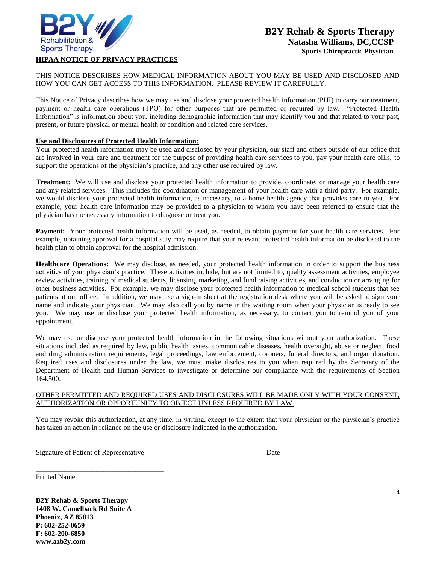

# **HIPAA NOTICE OF PRIVACY PRACTICES**

THIS NOTICE DESCRIBES HOW MEDICAL INFORMATION ABOUT YOU MAY BE USED AND DISCLOSED AND HOW YOU CAN GET ACCESS TO THIS INFORMATION. PLEASE REVIEW IT CAREFULLY.

This Notice of Privacy describes how we may use and disclose your protected health information (PHI) to carry our treatment, payment or health care operations (TPO) for other purposes that are permitted or required by law. "Protected Health Information" is information about you, including demographic information that may identify you and that related to your past, present, or future physical or mental health or condition and related care services.

## **Use and Disclosures of Protected Health Information:**

Your protected health information may be used and disclosed by your physician, our staff and others outside of our office that are involved in your care and treatment for the purpose of providing health care services to you, pay your health care bills, to support the operations of the physician's practice, and any other use required by law.

**Treatment:** We will use and disclose your protected health information to provide, coordinate, or manage your health care and any related services. This includes the coordination or management of your health care with a third party. For example, we would disclose your protected health information, as necessary, to a home health agency that provides care to you. For example, your health care information may be provided to a physician to whom you have been referred to ensure that the physician has the necessary information to diagnose or treat you.

**Payment:** Your protected health information will be used, as needed, to obtain payment for your health care services. For example, obtaining approval for a hospital stay may require that your relevant protected health information be disclosed to the health plan to obtain approval for the hospital admission.

**Healthcare Operations:** We may disclose, as needed, your protected health information in order to support the business activities of your physician's practice. These activities include, but are not limited to, quality assessment activities, employee review activities, training of medical students, licensing, marketing, and fund raising activities, and conduction or arranging for other business activities. For example, we may disclose your protected health information to medical school students that see patients at our office. In addition, we may use a sign-in sheet at the registration desk where you will be asked to sign your name and indicate your physician. We may also call you by name in the waiting room when your physician is ready to see you. We may use or disclose your protected health information, as necessary, to contact you to remind you of your appointment.

We may use or disclose your protected health information in the following situations without your authorization. These situations included as required by law, public health issues, communicable diseases, health oversight, abuse or neglect, food and drug administration requirements, legal proceedings, law enforcement, coroners, funeral directors, and organ donation. Required uses and disclosures under the law, we must make disclosures to you when required by the Secretary of the Department of Health and Human Services to investigate or determine our compliance with the requirements of Section 164.500.

## OTHER PERMITTED AND REQUIRED USES AND DISCLOSURES WILL BE MADE ONLY WITH YOUR CONSENT, AUTHORIZATION OR OPPORTUNITY TO OBJECT UNLESS REQUIRED BY LAW.

You may revoke this authorization, at any time, in writing, except to the extent that your physician or the physician's practice has taken an action in reliance on the use or disclosure indicated in the authorization.

\_\_\_\_\_\_\_\_\_\_\_\_\_\_\_\_\_\_\_\_\_\_\_\_\_\_\_\_\_\_\_\_\_\_\_\_ \_\_\_\_\_\_\_\_\_\_\_\_\_\_\_\_\_\_\_\_\_\_\_\_ Signature of Patient of Representative Date

\_\_\_\_\_\_\_\_\_\_\_\_\_\_\_\_\_\_\_\_\_\_\_\_\_\_\_\_\_\_\_\_\_\_\_\_

Printed Name

**B2Y Rehab & Sports Therapy 1408 W. Camelback Rd Suite A Phoenix, AZ 85013 P: 602-252-0659 F: 602-200-6850 www.azb2y.com**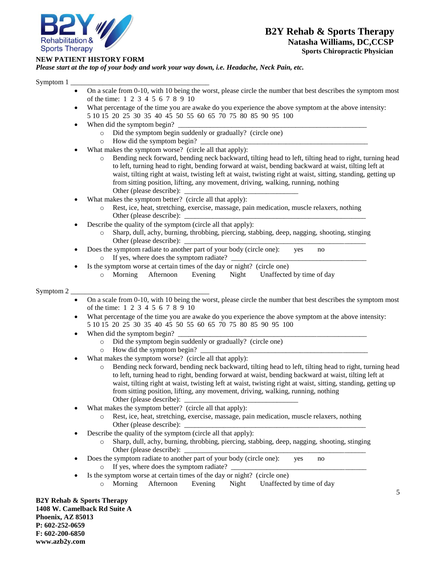

# **NEW PATIENT HISTORY FORM**

*Please start at the top of your body and work your way down, i.e. Headache, Neck Pain, etc.*

Symptom 1

- On a scale from 0-10, with 10 being the worst, please circle the number that best describes the symptom most of the time: 1 2 3 4 5 6 7 8 9 10
	- What percentage of the time you are awake do you experience the above symptom at the above intensity: 5 10 15 20 25 30 35 40 45 50 55 60 65 70 75 80 85 90 95 100
	- When did the symptom begin?
		- o Did the symptom begin suddenly or gradually? (circle one)
		- $\circ$  How did the symptom begin?
	- What makes the symptom worse? (circle all that apply):
		- o Bending neck forward, bending neck backward, tilting head to left, tilting head to right, turning head to left, turning head to right, bending forward at waist, bending backward at waist, tilting left at waist, tilting right at waist, twisting left at waist, twisting right at waist, sitting, standing, getting up from sitting position, lifting, any movement, driving, walking, running, nothing Other (please describe):
	- What makes the symptom better? (circle all that apply):
		- o Rest, ice, heat, stretching, exercise, massage, pain medication, muscle relaxers, nothing Other (please describe):
	- Describe the quality of the symptom (circle all that apply):
		- o Sharp, dull, achy, burning, throbbing, piercing, stabbing, deep, nagging, shooting, stinging Other (please describe):
	- Does the symptom radiate to another part of your body (circle one): yes no o If yes, where does the symptom radiate?
		- Is the symptom worse at certain times of the day or night? (circle one)

o Morning Afternoon Evening Night Unaffected by time of day

#### Symptom 2

- On a scale from 0-10, with 10 being the worst, please circle the number that best describes the symptom most of the time: 1 2 3 4 5 6 7 8 9 10
- What percentage of the time you are awake do you experience the above symptom at the above intensity: 5 10 15 20 25 30 35 40 45 50 55 60 65 70 75 80 85 90 95 100
- When did the symptom begin?
	- o Did the symptom begin suddenly or gradually? (circle one)
	- $\circ$  How did the symptom begin?
- What makes the symptom worse? (circle all that apply):
	- o Bending neck forward, bending neck backward, tilting head to left, tilting head to right, turning head to left, turning head to right, bending forward at waist, bending backward at waist, tilting left at waist, tilting right at waist, twisting left at waist, twisting right at waist, sitting, standing, getting up from sitting position, lifting, any movement, driving, walking, running, nothing Other (please describe):
- What makes the symptom better? (circle all that apply):
	- o Rest, ice, heat, stretching, exercise, massage, pain medication, muscle relaxers, nothing Other (please describe):
- Describe the quality of the symptom (circle all that apply):
	- Sharp, dull, achy, burning, throbbing, piercing, stabbing, deep, nagging, shooting, stinging Other (please describe):
- Does the symptom radiate to another part of your body (circle one): yes no o If yes, where does the symptom radiate?
- Is the symptom worse at certain times of the day or night? (circle one)
	- o Morning Afternoon Evening Night Unaffected by time of day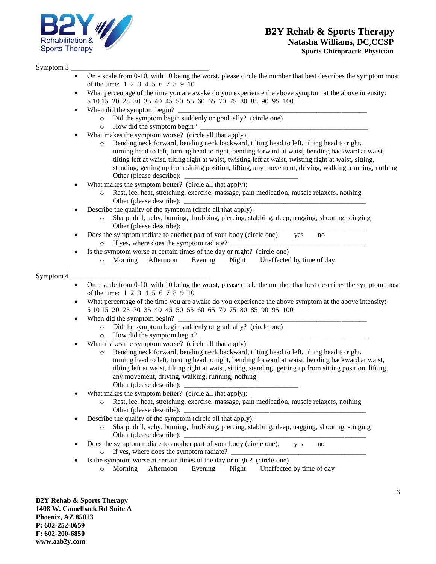



#### Symptom 3

- On a scale from 0-10, with 10 being the worst, please circle the number that best describes the symptom most of the time: 1 2 3 4 5 6 7 8 9 10
- What percentage of the time you are awake do you experience the above symptom at the above intensity: 5 10 15 20 25 30 35 40 45 50 55 60 65 70 75 80 85 90 95 100
- When did the symptom begin?
	- o Did the symptom begin suddenly or gradually? (circle one)
	- $\circ$  How did the symptom begin?
- What makes the symptom worse? (circle all that apply):
	- o Bending neck forward, bending neck backward, tilting head to left, tilting head to right, turning head to left, turning head to right, bending forward at waist, bending backward at waist, tilting left at waist, tilting right at waist, twisting left at waist, twisting right at waist, sitting, standing, getting up from sitting position, lifting, any movement, driving, walking, running, nothing Other (please describe):
- What makes the symptom better? (circle all that apply):
	- o Rest, ice, heat, stretching, exercise, massage, pain medication, muscle relaxers, nothing Other (please describe):
- Describe the quality of the symptom (circle all that apply):
	- Sharp, dull, achy, burning, throbbing, piercing, stabbing, deep, nagging, shooting, stinging Other (please describe):
- Does the symptom radiate to another part of your body (circle one): yes no  $\circ$  If yes, where does the symptom radiate?
- Is the symptom worse at certain times of the day or night? (circle one)
	- o Morning Afternoon Evening Night Unaffected by time of day

#### Symptom 4

- On a scale from 0-10, with 10 being the worst, please circle the number that best describes the symptom most of the time: 1 2 3 4 5 6 7 8 9 10
- What percentage of the time you are awake do you experience the above symptom at the above intensity: 5 10 15 20 25 30 35 40 45 50 55 60 65 70 75 80 85 90 95 100
- When did the symptom begin?
	- o Did the symptom begin suddenly or gradually? (circle one)
	- $\circ$  How did the symptom begin?
- What makes the symptom worse? (circle all that apply):
	- o Bending neck forward, bending neck backward, tilting head to left, tilting head to right, turning head to left, turning head to right, bending forward at waist, bending backward at waist, tilting left at waist, tilting right at waist, sitting, standing, getting up from sitting position, lifting, any movement, driving, walking, running, nothing Other (please describe):
- What makes the symptom better? (circle all that apply):
	- o Rest, ice, heat, stretching, exercise, massage, pain medication, muscle relaxers, nothing Other (please describe):
- Describe the quality of the symptom (circle all that apply):
	- o Sharp, dull, achy, burning, throbbing, piercing, stabbing, deep, nagging, shooting, stinging Other (please describe):
- Does the symptom radiate to another part of your body (circle one): yes no
	- o If yes, where does the symptom radiate?
- Is the symptom worse at certain times of the day or night? (circle one)
	- o Morning Afternoon Evening Night Unaffected by time of day